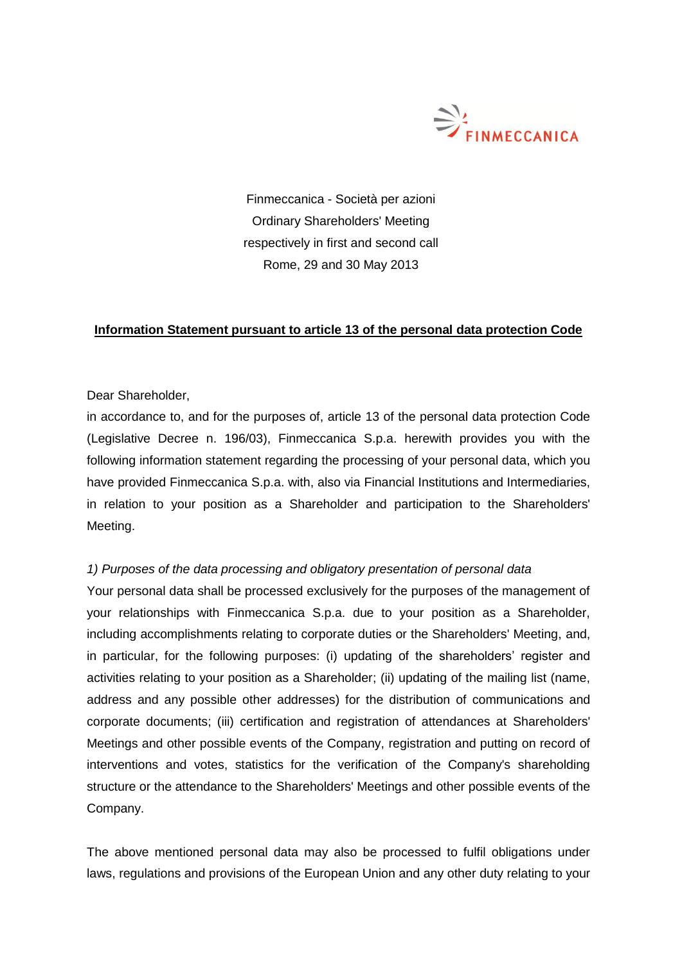

Finmeccanica - Società per azioni Ordinary Shareholders' Meeting respectively in first and second call Rome, 29 and 30 May 2013

## **Information Statement pursuant to article 13 of the personal data protection Code**

Dear Shareholder,

in accordance to, and for the purposes of, article 13 of the personal data protection Code (Legislative Decree n. 196/03), Finmeccanica S.p.a. herewith provides you with the following information statement regarding the processing of your personal data, which you have provided Finmeccanica S.p.a. with, also via Financial Institutions and Intermediaries, in relation to your position as a Shareholder and participation to the Shareholders' Meeting.

## *1) Purposes of the data processing and obligatory presentation of personal data*

Your personal data shall be processed exclusively for the purposes of the management of your relationships with Finmeccanica S.p.a. due to your position as a Shareholder, including accomplishments relating to corporate duties or the Shareholders' Meeting, and, in particular, for the following purposes: (i) updating of the shareholders' register and activities relating to your position as a Shareholder; (ii) updating of the mailing list (name, address and any possible other addresses) for the distribution of communications and corporate documents; (iii) certification and registration of attendances at Shareholders' Meetings and other possible events of the Company, registration and putting on record of interventions and votes, statistics for the verification of the Company's shareholding structure or the attendance to the Shareholders' Meetings and other possible events of the Company.

The above mentioned personal data may also be processed to fulfil obligations under laws, regulations and provisions of the European Union and any other duty relating to your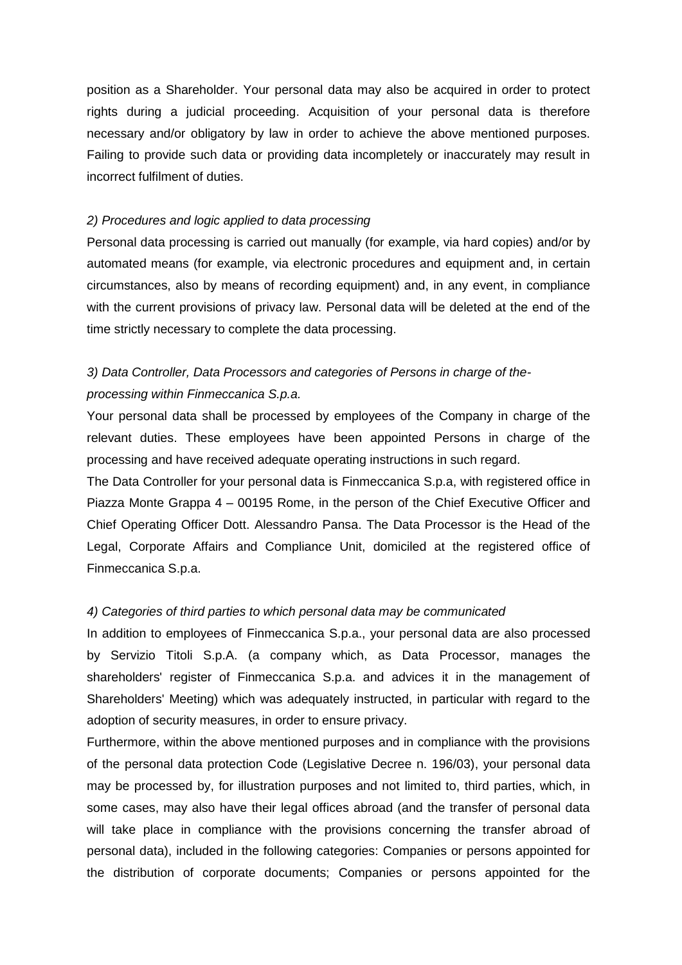position as a Shareholder. Your personal data may also be acquired in order to protect rights during a judicial proceeding. Acquisition of your personal data is therefore necessary and/or obligatory by law in order to achieve the above mentioned purposes. Failing to provide such data or providing data incompletely or inaccurately may result in incorrect fulfilment of duties.

### *2) Procedures and logic applied to data processing*

Personal data processing is carried out manually (for example, via hard copies) and/or by automated means (for example, via electronic procedures and equipment and, in certain circumstances, also by means of recording equipment) and, in any event, in compliance with the current provisions of privacy law. Personal data will be deleted at the end of the time strictly necessary to complete the data processing.

# *3) Data Controller, Data Processors and categories of Persons in charge of theprocessing within Finmeccanica S.p.a.*

Your personal data shall be processed by employees of the Company in charge of the relevant duties. These employees have been appointed Persons in charge of the processing and have received adequate operating instructions in such regard.

The Data Controller for your personal data is Finmeccanica S.p.a, with registered office in Piazza Monte Grappa 4 – 00195 Rome, in the person of the Chief Executive Officer and Chief Operating Officer Dott. Alessandro Pansa. The Data Processor is the Head of the Legal, Corporate Affairs and Compliance Unit, domiciled at the registered office of Finmeccanica S.p.a.

### *4) Categories of third parties to which personal data may be communicated*

In addition to employees of Finmeccanica S.p.a., your personal data are also processed by Servizio Titoli S.p.A. (a company which, as Data Processor, manages the shareholders' register of Finmeccanica S.p.a. and advices it in the management of Shareholders' Meeting) which was adequately instructed, in particular with regard to the adoption of security measures, in order to ensure privacy.

Furthermore, within the above mentioned purposes and in compliance with the provisions of the personal data protection Code (Legislative Decree n. 196/03), your personal data may be processed by, for illustration purposes and not limited to, third parties, which, in some cases, may also have their legal offices abroad (and the transfer of personal data will take place in compliance with the provisions concerning the transfer abroad of personal data), included in the following categories: Companies or persons appointed for the distribution of corporate documents; Companies or persons appointed for the